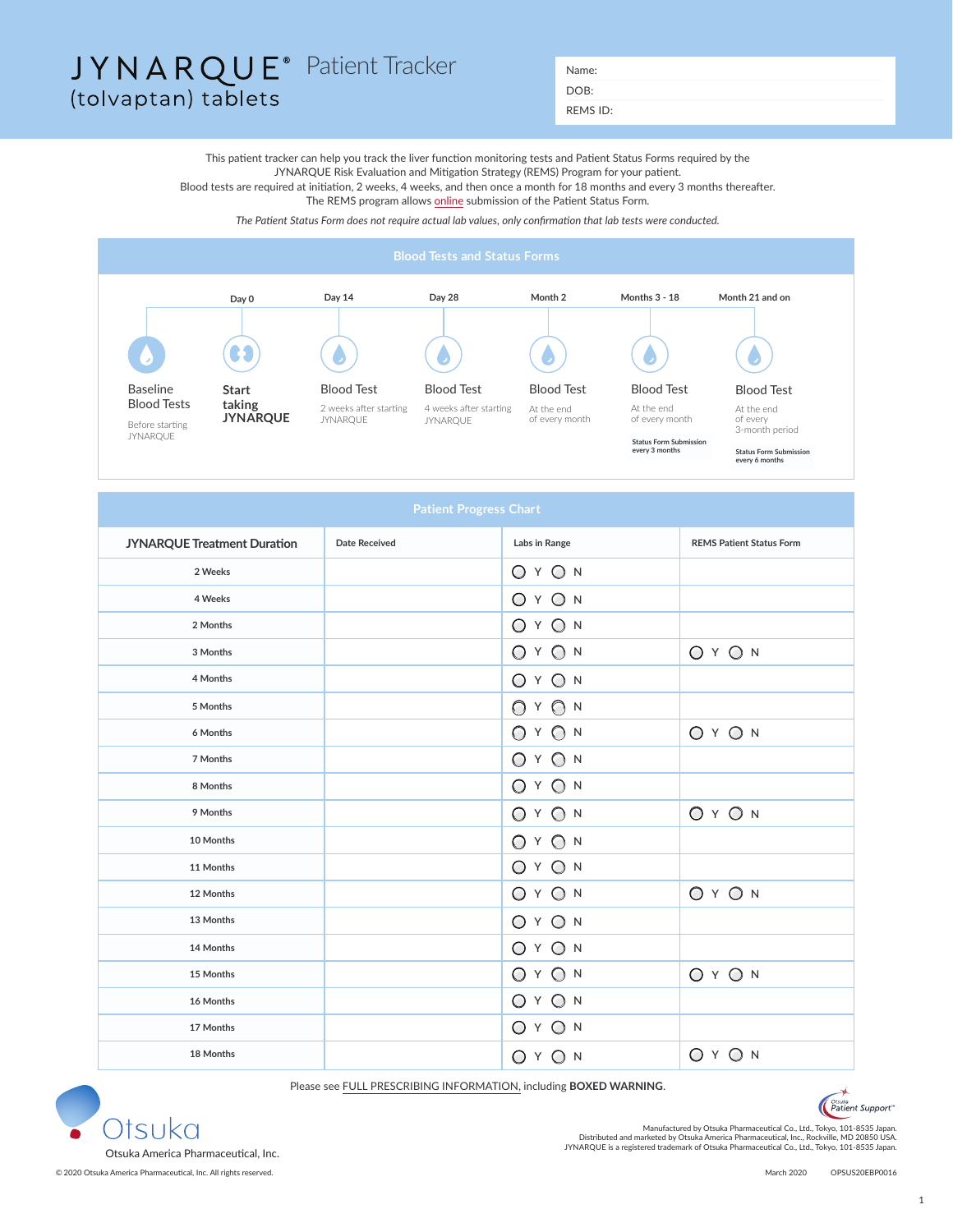## JYNARQUE<sup>®</sup> Patient Tracker Name: (tolvaptan) tablets

DOB:

REMS ID:

This patient tracker can help you track the liver function monitoring tests and Patient Status Forms required by the JYNARQUE Risk Evaluation and Mitigation Strategy (REMS) Program for your patient. Blood tests are required at initiation, 2 weeks, 4 weeks, and then once a month for 18 months and every 3 months thereafter. The REMS program allows [online](https://jynarquerems.com/#Main) submission of the Patient Status Form.

*The Patient Status Form does not require actual lab values, only confirmation that lab tests were conducted.*



| <b>Patient Progress Chart</b>      |                      |                    |                                 |  |
|------------------------------------|----------------------|--------------------|---------------------------------|--|
| <b>JYNARQUE Treatment Duration</b> | <b>Date Received</b> | Labs in Range      | <b>REMS Patient Status Form</b> |  |
| 2 Weeks                            |                      | O Y O N            |                                 |  |
| 4 Weeks                            |                      | O Y O N            |                                 |  |
| 2 Months                           |                      | O Y O N            |                                 |  |
| 3 Months                           |                      | O Y O N            | O Y O N                         |  |
| 4 Months                           |                      | O Y O N            |                                 |  |
| 5 Months                           |                      | YON<br>$\bigcirc$  |                                 |  |
| 6 Months                           |                      | O Y O N            | O Y O N                         |  |
| 7 Months                           |                      | Y ON<br>$\bigcirc$ |                                 |  |
| 8 Months                           |                      | O Y O N            |                                 |  |
| 9 Months                           |                      | O Y O N            | $OY$ ON                         |  |
| 10 Months                          |                      | O Y O N            |                                 |  |
| 11 Months                          |                      | O Y O N            |                                 |  |
| 12 Months                          |                      | O Y O N            | $OY$ O N                        |  |
| 13 Months                          |                      | O Y O N            |                                 |  |
| 14 Months                          |                      | O Y O N            |                                 |  |
| 15 Months                          |                      | O Y O N            | O Y O N                         |  |
| 16 Months                          |                      | O Y O N            |                                 |  |
| 17 Months                          |                      | O Y O N            |                                 |  |
| 18 Months                          |                      | O Y O N            | O Y O N                         |  |

Please see [FULL PRESCRIBING INFORMATION,](https://www.otsuka-us.com/media/static/JYNARQUE-PI.pdf) including **BOXED WARNING**.

Patient Support



.Manufactured by Otsuka Pharmaceutical Co., Ltd., Tokyo, 101-8535 Japan<br>Distributed and marketed by Otsuka America Pharmaceutical, Inc., Rockville, MD 20850 USA.<br>JYNARQUE is a registered trademark of Otsuka Pharmaceutical